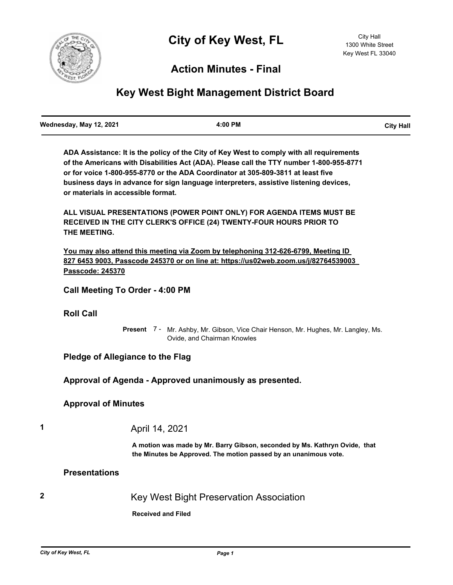

# **Action Minutes - Final**

# **Key West Bight Management District Board**

**ADA Assistance: It is the policy of the City of Key West to comply with all requirements of the Americans with Disabilities Act (ADA). Please call the TTY number 1-800-955-8771 or for voice 1-800-955-8770 or the ADA Coordinator at 305-809-3811 at least five business days in advance for sign language interpreters, assistive listening devices, or materials in accessible format.**

**ALL VISUAL PRESENTATIONS (POWER POINT ONLY) FOR AGENDA ITEMS MUST BE RECEIVED IN THE CITY CLERK'S OFFICE (24) TWENTY-FOUR HOURS PRIOR TO THE MEETING.**

**You may also attend this meeting via Zoom by telephoning 312-626-6799, Meeting ID 827 6453 9003, Passcode 245370 or on line at: https://us02web.zoom.us/j/82764539003 Passcode: 245370**

**Call Meeting To Order - 4:00 PM**

#### **Roll Call**

Present 7 - Mr. Ashby, Mr. Gibson, Vice Chair Henson, Mr. Hughes, Mr. Langley, Ms. Ovide, and Chairman Knowles

## **Pledge of Allegiance to the Flag**

**Approval of Agenda - Approved unanimously as presented.**

### **Approval of Minutes**

**1** April 14, 2021

**A motion was made by Mr. Barry Gibson, seconded by Ms. Kathryn Ovide, that the Minutes be Approved. The motion passed by an unanimous vote.**

### **Presentations**

**2** Key West Bight Preservation Association

**Received and Filed**